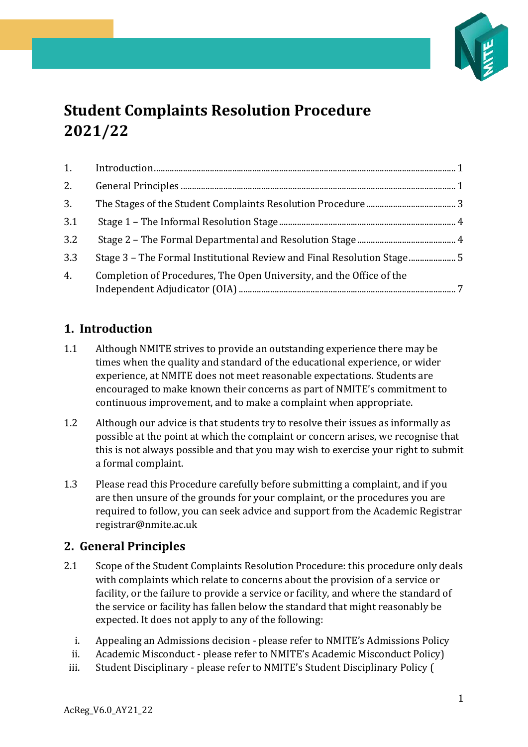

# **Student Complaints Resolution Procedure 2021/22**

| 2.  |                                                                        |  |
|-----|------------------------------------------------------------------------|--|
| 3.  |                                                                        |  |
| 3.1 |                                                                        |  |
| 3.2 |                                                                        |  |
| 3.3 | Stage 3 - The Formal Institutional Review and Final Resolution Stage 5 |  |
| 4.  | Completion of Procedures, The Open University, and the Office of the   |  |

# <span id="page-0-0"></span>**1. Introduction**

- 1.1 Although NMITE strives to provide an outstanding experience there may be times when the quality and standard of the educational experience, or wider experience, at NMITE does not meet reasonable expectations. Students are encouraged to make known their concerns as part of NMITE's commitment to continuous improvement, and to make a complaint when appropriate.
- 1.2 Although our advice is that students try to resolve their issues as informally as possible at the point at which the complaint or concern arises, we recognise that this is not always possible and that you may wish to exercise your right to submit a formal complaint.
- 1.3 Please read this Procedure carefully before submitting a complaint, and if you are then unsure of the grounds for your complaint, or the procedures you are required to follow, you can seek advice and support from the Academic Registrar registrar@nmite.ac.uk

## <span id="page-0-1"></span>**2. General Principles**

- 2.1 Scope of the Student Complaints Resolution Procedure: this procedure only deals with complaints which relate to concerns about the provision of a service or facility, or the failure to provide a service or facility, and where the standard of the service or facility has fallen below the standard that might reasonably be expected. It does not apply to any of the following:
	- i. Appealing an Admissions decision please refer to NMITE's Admissions Policy
	- ii. Academic Misconduct please refer to NMITE's Academic Misconduct Policy)
	- iii. Student Disciplinary please refer to NMITE's Student Disciplinary Policy (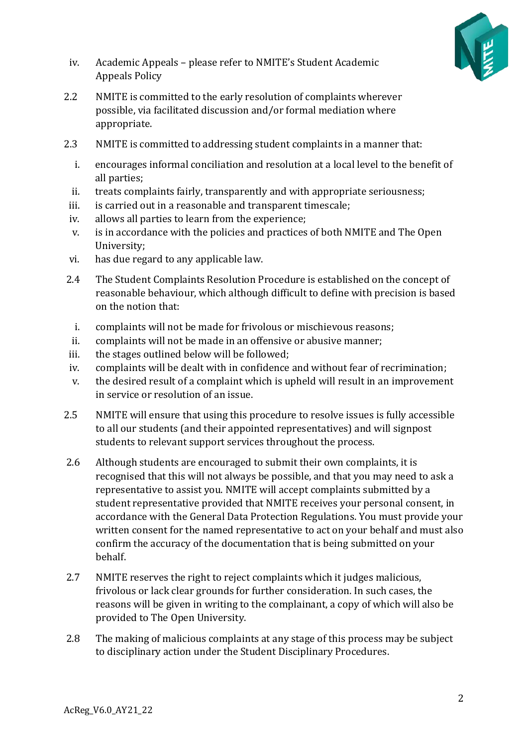

- iv. Academic Appeals please refer to NMITE's Student Academic Appeals Policy
- 2.2 NMITE is committed to the early resolution of complaints wherever possible, via facilitated discussion and/or formal mediation where appropriate.
- 2.3 NMITE is committed to addressing student complaints in a manner that:
	- i. encourages informal conciliation and resolution at a local level to the benefit of all parties;
	- ii. treats complaints fairly, transparently and with appropriate seriousness;
	- iii. is carried out in a reasonable and transparent timescale;
	- iv. allows all parties to learn from the experience;
	- v. is in accordance with the policies and practices of both NMITE and The Open University;
- vi. has due regard to any applicable law.
- 2.4 The Student Complaints Resolution Procedure is established on the concept of reasonable behaviour, which although difficult to define with precision is based on the notion that:
- i. complaints will not be made for frivolous or mischievous reasons;
- ii. complaints will not be made in an offensive or abusive manner;
- iii. the stages outlined below will be followed;
- iv. complaints will be dealt with in confidence and without fear of recrimination;
- v. the desired result of a complaint which is upheld will result in an improvement in service or resolution of an issue.
- 2.5 NMITE will ensure that using this procedure to resolve issues is fully accessible to all our students (and their appointed representatives) and will signpost students to relevant support services throughout the process.
- 2.6 Although students are encouraged to submit their own complaints, it is recognised that this will not always be possible, and that you may need to ask a representative to assist you. NMITE will accept complaints submitted by a student representative provided that NMITE receives your personal consent, in accordance with the General Data Protection Regulations. You must provide your written consent for the named representative to act on your behalf and must also confirm the accuracy of the documentation that is being submitted on your behalf.
- 2.7 NMITE reserves the right to reject complaints which it judges malicious, frivolous or lack clear grounds for further consideration. In such cases, the reasons will be given in writing to the complainant, a copy of which will also be provided to The Open University.
- 2.8 The making of malicious complaints at any stage of this process may be subject to disciplinary action under the Student Disciplinary Procedures.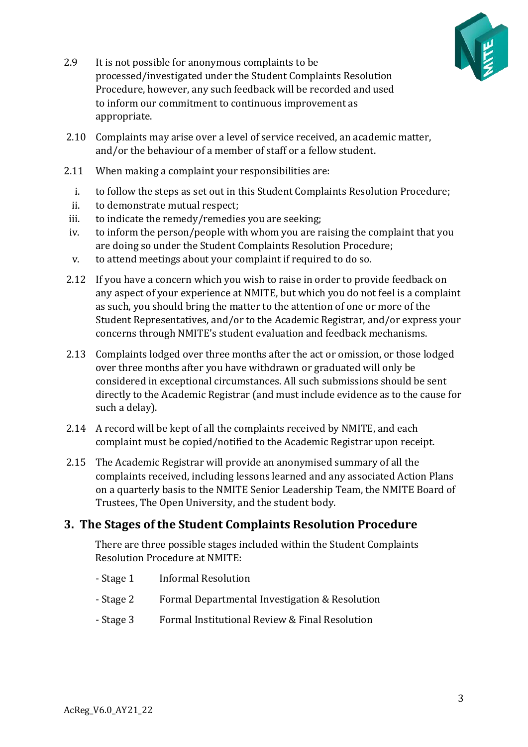

- 2.9 It is not possible for anonymous complaints to be processed/investigated under the Student Complaints Resolution Procedure, however, any such feedback will be recorded and used to inform our commitment to continuous improvement as appropriate.
- 2.10 Complaints may arise over a level of service received, an academic matter, and/or the behaviour of a member of staff or a fellow student.
- 2.11 When making a complaint your responsibilities are:
	- i. to follow the steps as set out in this Student Complaints Resolution Procedure;
	- ii. to demonstrate mutual respect;
	- iii. to indicate the remedy/remedies you are seeking;
	- iv. to inform the person/people with whom you are raising the complaint that you are doing so under the Student Complaints Resolution Procedure;
	- v. to attend meetings about your complaint if required to do so.
- 2.12 If you have a concern which you wish to raise in order to provide feedback on any aspect of your experience at NMITE, but which you do not feel is a complaint as such, you should bring the matter to the attention of one or more of the Student Representatives, and/or to the Academic Registrar, and/or express your concerns through NMITE's student evaluation and feedback mechanisms.
- 2.13 Complaints lodged over three months after the act or omission, or those lodged over three months after you have withdrawn or graduated will only be considered in exceptional circumstances. All such submissions should be sent directly to the Academic Registrar (and must include evidence as to the cause for such a delay).
- 2.14 A record will be kept of all the complaints received by NMITE, and each complaint must be copied/notified to the Academic Registrar upon receipt.
- 2.15 The Academic Registrar will provide an anonymised summary of all the complaints received, including lessons learned and any associated Action Plans on a quarterly basis to the NMITE Senior Leadership Team, the NMITE Board of Trustees, The Open University, and the student body.

## <span id="page-2-0"></span>**3. The Stages of the Student Complaints Resolution Procedure**

There are three possible stages included within the Student Complaints Resolution Procedure at NMITE:

- Stage 1 Informal Resolution
- Stage 2 Formal Departmental Investigation & Resolution
- Stage 3 Formal Institutional Review & Final Resolution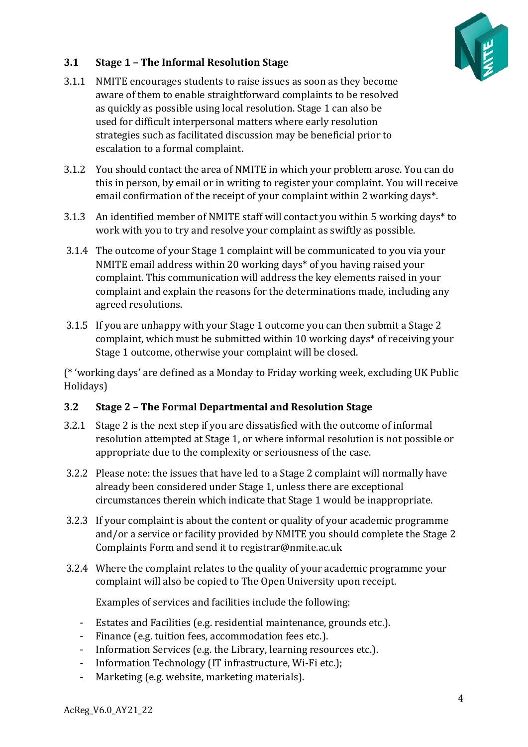

#### <span id="page-3-0"></span>**3.1 Stage 1 – The Informal Resolution Stage**

- 3.1.1 NMITE encourages students to raise issues as soon as they become aware of them to enable straightforward complaints to be resolved as quickly as possible using local resolution. Stage 1 can also be used for difficult interpersonal matters where early resolution strategies such as facilitated discussion may be beneficial prior to escalation to a formal complaint.
- 3.1.2 You should contact the area of NMITE in which your problem arose. You can do this in person, by email or in writing to register your complaint. You will receive email confirmation of the receipt of your complaint within 2 working days\*.
- 3.1.3 An identified member of NMITE staff will contact you within 5 working days\* to work with you to try and resolve your complaint as swiftly as possible.
- 3.1.4 The outcome of your Stage 1 complaint will be communicated to you via your NMITE email address within 20 working days\* of you having raised your complaint. This communication will address the key elements raised in your complaint and explain the reasons for the determinations made, including any agreed resolutions.
- 3.1.5 If you are unhappy with your Stage 1 outcome you can then submit a Stage 2 complaint, which must be submitted within 10 working days\* of receiving your Stage 1 outcome, otherwise your complaint will be closed.

(\* 'working days' are defined as a Monday to Friday working week, excluding UK Public Holidays)

#### <span id="page-3-1"></span>**3.2 Stage 2 – The Formal Departmental and Resolution Stage**

- 3.2.1 Stage 2 is the next step if you are dissatisfied with the outcome of informal resolution attempted at Stage 1, or where informal resolution is not possible or appropriate due to the complexity or seriousness of the case.
- 3.2.2 Please note: the issues that have led to a Stage 2 complaint will normally have already been considered under Stage 1, unless there are exceptional circumstances therein which indicate that Stage 1 would be inappropriate.
- 3.2.3 If your complaint is about the content or quality of your academic programme and/or a service or facility provided by NMITE you should complete the Stage 2 Complaints Form and send it to registrar@nmite.ac.uk
- 3.2.4 Where the complaint relates to the quality of your academic programme your complaint will also be copied to The Open University upon receipt.

Examples of services and facilities include the following:

- Estates and Facilities (e.g. residential maintenance, grounds etc.).
- Finance (e.g. tuition fees, accommodation fees etc.).
- Information Services (e.g. the Library, learning resources etc.).
- Information Technology (IT infrastructure, Wi-Fi etc.);
- Marketing (e.g. website, marketing materials).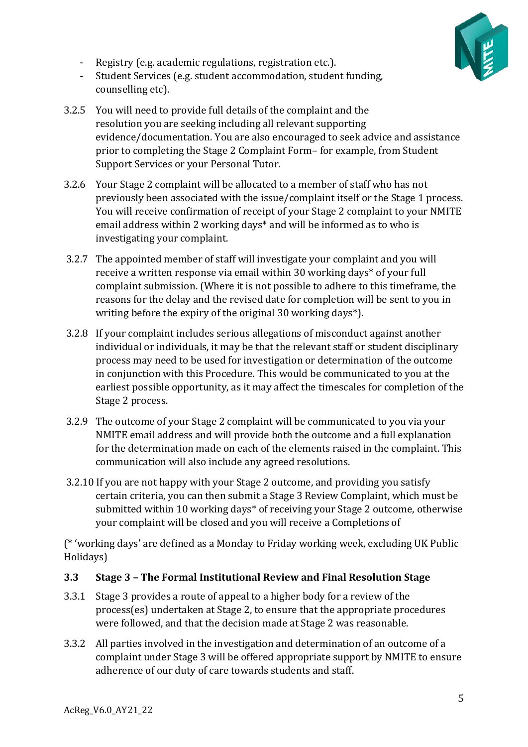

- Registry (e.g. academic regulations, registration etc.).
- Student Services (e.g. student accommodation, student funding, counselling etc).
- 3.2.5 You will need to provide full details of the complaint and the resolution you are seeking including all relevant supporting evidence/documentation. You are also encouraged to seek advice and assistance prior to completing the Stage 2 Complaint Form– for example, from Student Support Services or your Personal Tutor.
- 3.2.6 Your Stage 2 complaint will be allocated to a member of staff who has not previously been associated with the issue/complaint itself or the Stage 1 process. You will receive confirmation of receipt of your Stage 2 complaint to your NMITE email address within 2 working days\* and will be informed as to who is investigating your complaint.
- 3.2.7 The appointed member of staff will investigate your complaint and you will receive a written response via email within 30 working days\* of your full complaint submission. (Where it is not possible to adhere to this timeframe, the reasons for the delay and the revised date for completion will be sent to you in writing before the expiry of the original 30 working days\*).
- 3.2.8 If your complaint includes serious allegations of misconduct against another individual or individuals, it may be that the relevant staff or student disciplinary process may need to be used for investigation or determination of the outcome in conjunction with this Procedure. This would be communicated to you at the earliest possible opportunity, as it may affect the timescales for completion of the Stage 2 process.
- 3.2.9 The outcome of your Stage 2 complaint will be communicated to you via your NMITE email address and will provide both the outcome and a full explanation for the determination made on each of the elements raised in the complaint. This communication will also include any agreed resolutions.
- 3.2.10 If you are not happy with your Stage 2 outcome, and providing you satisfy certain criteria, you can then submit a Stage 3 Review Complaint, which must be submitted within 10 working days\* of receiving your Stage 2 outcome, otherwise your complaint will be closed and you will receive a Completions of

(\* 'working days' are defined as a Monday to Friday working week, excluding UK Public Holidays)

## <span id="page-4-0"></span>**3.3 Stage 3 – The Formal Institutional Review and Final Resolution Stage**

- 3.3.1 Stage 3 provides a route of appeal to a higher body for a review of the process(es) undertaken at Stage 2, to ensure that the appropriate procedures were followed, and that the decision made at Stage 2 was reasonable.
- 3.3.2 All parties involved in the investigation and determination of an outcome of a complaint under Stage 3 will be offered appropriate support by NMITE to ensure adherence of our duty of care towards students and staff.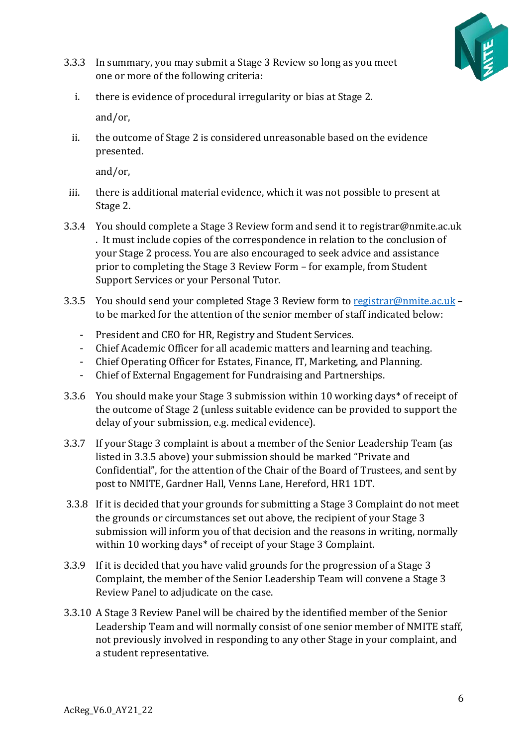

- 3.3.3 In summary, you may submit a Stage 3 Review so long as you meet one or more of the following criteria:
	- i. there is evidence of procedural irregularity or bias at Stage 2. and/or,
	- ii. the outcome of Stage 2 is considered unreasonable based on the evidence presented.

and/or,

- iii. there is additional material evidence, which it was not possible to present at Stage 2.
- 3.3.4 You should complete a Stage 3 Review form and send it to registrar@nmite.ac.uk . It must include copies of the correspondence in relation to the conclusion of your Stage 2 process. You are also encouraged to seek advice and assistance prior to completing the Stage 3 Review Form – for example, from Student Support Services or your Personal Tutor.
- 3.3.5 You should send your completed Stage 3 Review form to [registrar@nmite.ac.uk](mailto:registrar@nmite.ac.uk) to be marked for the attention of the senior member of staff indicated below:
	- President and CEO for HR, Registry and Student Services.
	- Chief Academic Officer for all academic matters and learning and teaching.
	- Chief Operating Officer for Estates, Finance, IT, Marketing, and Planning.
	- Chief of External Engagement for Fundraising and Partnerships.
- 3.3.6 You should make your Stage 3 submission within 10 working days\* of receipt of the outcome of Stage 2 (unless suitable evidence can be provided to support the delay of your submission, e.g. medical evidence).
- 3.3.7 If your Stage 3 complaint is about a member of the Senior Leadership Team (as listed in 3.3.5 above) your submission should be marked "Private and Confidential", for the attention of the Chair of the Board of Trustees, and sent by post to NMITE, Gardner Hall, Venns Lane, Hereford, HR1 1DT.
- 3.3.8 If it is decided that your grounds for submitting a Stage 3 Complaint do not meet the grounds or circumstances set out above, the recipient of your Stage 3 submission will inform you of that decision and the reasons in writing, normally within 10 working days\* of receipt of your Stage 3 Complaint.
- 3.3.9 If it is decided that you have valid grounds for the progression of a Stage 3 Complaint, the member of the Senior Leadership Team will convene a Stage 3 Review Panel to adjudicate on the case.
- 3.3.10 A Stage 3 Review Panel will be chaired by the identified member of the Senior Leadership Team and will normally consist of one senior member of NMITE staff, not previously involved in responding to any other Stage in your complaint, and a student representative.